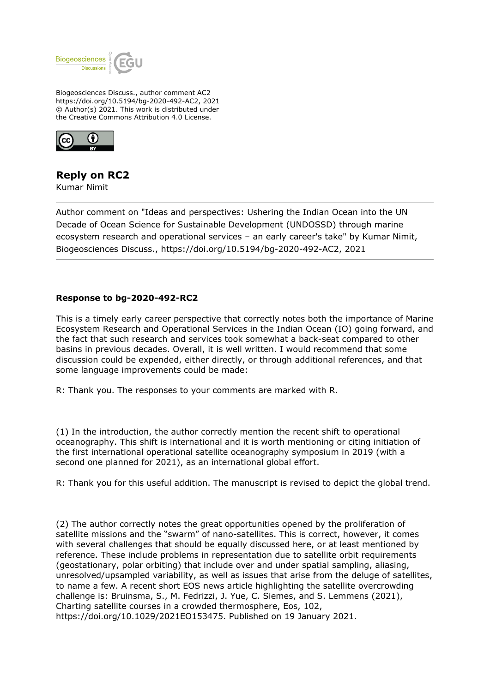

Biogeosciences Discuss., author comment AC2 https://doi.org/10.5194/bg-2020-492-AC2, 2021 © Author(s) 2021. This work is distributed under the Creative Commons Attribution 4.0 License.



## **Reply on RC2**

Kumar Nimit

Author comment on "Ideas and perspectives: Ushering the Indian Ocean into the UN Decade of Ocean Science for Sustainable Development (UNDOSSD) through marine ecosystem research and operational services – an early career's take" by Kumar Nimit, Biogeosciences Discuss., https://doi.org/10.5194/bg-2020-492-AC2, 2021

## **Response to bg-2020-492-RC2**

This is a timely early career perspective that correctly notes both the importance of Marine Ecosystem Research and Operational Services in the Indian Ocean (IO) going forward, and the fact that such research and services took somewhat a back-seat compared to other basins in previous decades. Overall, it is well written. I would recommend that some discussion could be expended, either directly, or through additional references, and that some language improvements could be made:

R: Thank you. The responses to your comments are marked with R.

(1) In the introduction, the author correctly mention the recent shift to operational oceanography. This shift is international and it is worth mentioning or citing initiation of the first international operational satellite oceanography symposium in 2019 (with a second one planned for 2021), as an international global effort.

R: Thank you for this useful addition. The manuscript is revised to depict the global trend.

(2) The author correctly notes the great opportunities opened by the proliferation of satellite missions and the "swarm" of nano-satellites. This is correct, however, it comes with several challenges that should be equally discussed here, or at least mentioned by reference. These include problems in representation due to satellite orbit requirements (geostationary, polar orbiting) that include over and under spatial sampling, aliasing, unresolved/upsampled variability, as well as issues that arise from the deluge of satellites, to name a few. A recent short EOS news article highlighting the satellite overcrowding challenge is: Bruinsma, S., M. Fedrizzi, J. Yue, C. Siemes, and S. Lemmens (2021), Charting satellite courses in a crowded thermosphere, Eos, 102, https://doi.org/10.1029/2021EO153475. Published on 19 January 2021.